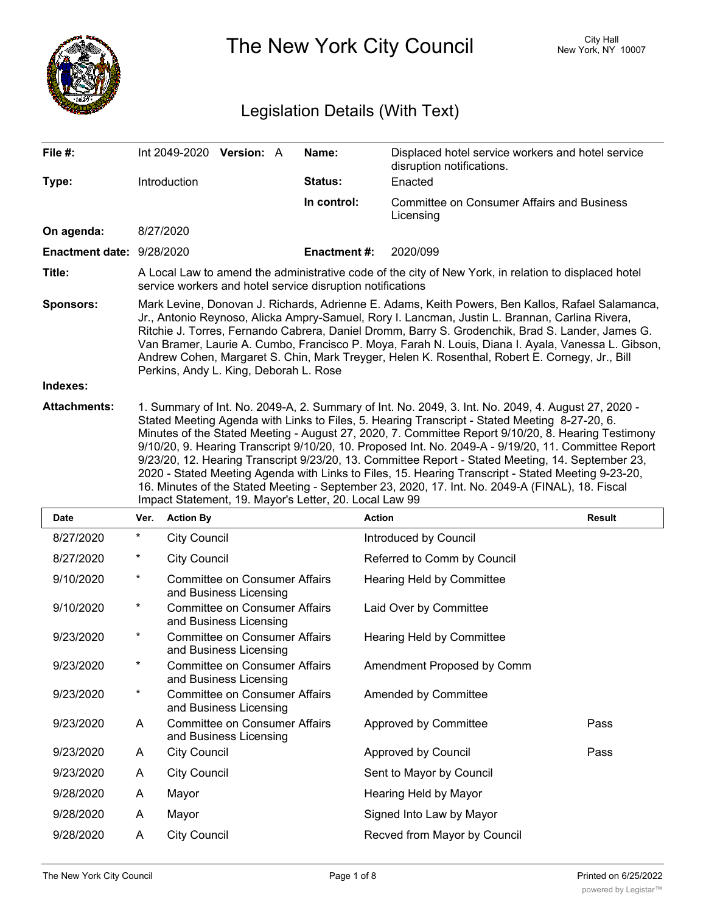

The New York City Council New York, NY 10007

# Legislation Details (With Text)

| File #:                      | Int 2049-2020 Version: A                                                                                                                                                                                                                                                                                                                                                                                                                                                                                                                                                                                                                                                                                                                                                                  |  |  | Name:               | Displaced hotel service workers and hotel service<br>disruption notifications. |               |  |
|------------------------------|-------------------------------------------------------------------------------------------------------------------------------------------------------------------------------------------------------------------------------------------------------------------------------------------------------------------------------------------------------------------------------------------------------------------------------------------------------------------------------------------------------------------------------------------------------------------------------------------------------------------------------------------------------------------------------------------------------------------------------------------------------------------------------------------|--|--|---------------------|--------------------------------------------------------------------------------|---------------|--|
| Type:                        | Introduction                                                                                                                                                                                                                                                                                                                                                                                                                                                                                                                                                                                                                                                                                                                                                                              |  |  | Status:             | Enacted                                                                        |               |  |
|                              |                                                                                                                                                                                                                                                                                                                                                                                                                                                                                                                                                                                                                                                                                                                                                                                           |  |  | In control:         | <b>Committee on Consumer Affairs and Business</b><br>Licensing                 |               |  |
| On agenda:                   | 8/27/2020                                                                                                                                                                                                                                                                                                                                                                                                                                                                                                                                                                                                                                                                                                                                                                                 |  |  |                     |                                                                                |               |  |
| Enactment date: 9/28/2020    |                                                                                                                                                                                                                                                                                                                                                                                                                                                                                                                                                                                                                                                                                                                                                                                           |  |  | <b>Enactment #:</b> | 2020/099                                                                       |               |  |
| Title:                       | A Local Law to amend the administrative code of the city of New York, in relation to displaced hotel<br>service workers and hotel service disruption notifications                                                                                                                                                                                                                                                                                                                                                                                                                                                                                                                                                                                                                        |  |  |                     |                                                                                |               |  |
| <b>Sponsors:</b><br>Indexes: | Mark Levine, Donovan J. Richards, Adrienne E. Adams, Keith Powers, Ben Kallos, Rafael Salamanca,<br>Jr., Antonio Reynoso, Alicka Ampry-Samuel, Rory I. Lancman, Justin L. Brannan, Carlina Rivera,<br>Ritchie J. Torres, Fernando Cabrera, Daniel Dromm, Barry S. Grodenchik, Brad S. Lander, James G.<br>Van Bramer, Laurie A. Cumbo, Francisco P. Moya, Farah N. Louis, Diana I. Ayala, Vanessa L. Gibson,<br>Andrew Cohen, Margaret S. Chin, Mark Treyger, Helen K. Rosenthal, Robert E. Cornegy, Jr., Bill<br>Perkins, Andy L. King, Deborah L. Rose                                                                                                                                                                                                                                  |  |  |                     |                                                                                |               |  |
|                              |                                                                                                                                                                                                                                                                                                                                                                                                                                                                                                                                                                                                                                                                                                                                                                                           |  |  |                     |                                                                                |               |  |
| <b>Attachments:</b>          | 1. Summary of Int. No. 2049-A, 2. Summary of Int. No. 2049, 3. Int. No. 2049, 4. August 27, 2020 -<br>Stated Meeting Agenda with Links to Files, 5. Hearing Transcript - Stated Meeting 8-27-20, 6.<br>Minutes of the Stated Meeting - August 27, 2020, 7. Committee Report 9/10/20, 8. Hearing Testimony<br>9/10/20, 9. Hearing Transcript 9/10/20, 10. Proposed Int. No. 2049-A - 9/19/20, 11. Committee Report<br>9/23/20, 12. Hearing Transcript 9/23/20, 13. Committee Report - Stated Meeting, 14. September 23,<br>2020 - Stated Meeting Agenda with Links to Files, 15. Hearing Transcript - Stated Meeting 9-23-20,<br>16. Minutes of the Stated Meeting - September 23, 2020, 17. Int. No. 2049-A (FINAL), 18. Fiscal<br>Impact Statement, 19. Mayor's Letter, 20. Local Law 99 |  |  |                     |                                                                                |               |  |
| <b>Date</b>                  | Ver. Action By                                                                                                                                                                                                                                                                                                                                                                                                                                                                                                                                                                                                                                                                                                                                                                            |  |  | <b>Action</b>       |                                                                                | <b>Result</b> |  |

| Date      | Ver.     | <b>Action By</b>                                               | Action                           | Result |
|-----------|----------|----------------------------------------------------------------|----------------------------------|--------|
| 8/27/2020 | $^\star$ | <b>City Council</b>                                            | Introduced by Council            |        |
| 8/27/2020 | $^\star$ | <b>City Council</b>                                            | Referred to Comm by Council      |        |
| 9/10/2020 | $^\star$ | Committee on Consumer Affairs<br>and Business Licensing        | <b>Hearing Held by Committee</b> |        |
| 9/10/2020 | $^\star$ | <b>Committee on Consumer Affairs</b><br>and Business Licensing | Laid Over by Committee           |        |
| 9/23/2020 | $^\star$ | <b>Committee on Consumer Affairs</b><br>and Business Licensing | <b>Hearing Held by Committee</b> |        |
| 9/23/2020 | $^\star$ | <b>Committee on Consumer Affairs</b><br>and Business Licensing | Amendment Proposed by Comm       |        |
| 9/23/2020 | $^\star$ | <b>Committee on Consumer Affairs</b><br>and Business Licensing | Amended by Committee             |        |
| 9/23/2020 | A        | <b>Committee on Consumer Affairs</b><br>and Business Licensing | Approved by Committee            | Pass   |
| 9/23/2020 | A        | <b>City Council</b>                                            | Approved by Council              | Pass   |
| 9/23/2020 | Α        | <b>City Council</b>                                            | Sent to Mayor by Council         |        |
| 9/28/2020 | A        | Mayor                                                          | Hearing Held by Mayor            |        |
| 9/28/2020 | A        | Mayor                                                          | Signed Into Law by Mayor         |        |
| 9/28/2020 | A        | <b>City Council</b>                                            | Recved from Mayor by Council     |        |
|           |          |                                                                |                                  |        |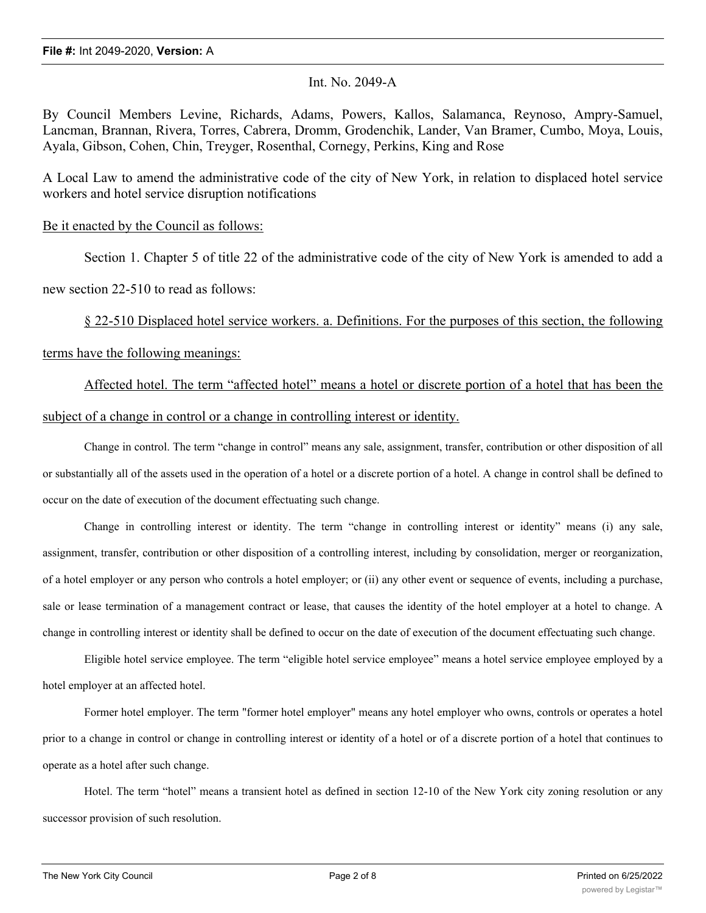## Int. No. 2049-A

By Council Members Levine, Richards, Adams, Powers, Kallos, Salamanca, Reynoso, Ampry-Samuel, Lancman, Brannan, Rivera, Torres, Cabrera, Dromm, Grodenchik, Lander, Van Bramer, Cumbo, Moya, Louis, Ayala, Gibson, Cohen, Chin, Treyger, Rosenthal, Cornegy, Perkins, King and Rose

A Local Law to amend the administrative code of the city of New York, in relation to displaced hotel service workers and hotel service disruption notifications

## Be it enacted by the Council as follows:

Section 1. Chapter 5 of title 22 of the administrative code of the city of New York is amended to add a

new section 22-510 to read as follows:

§ 22-510 Displaced hotel service workers. a. Definitions. For the purposes of this section, the following terms have the following meanings:

Affected hotel. The term "affected hotel" means a hotel or discrete portion of a hotel that has been the subject of a change in control or a change in controlling interest or identity.

Change in control. The term "change in control" means any sale, assignment, transfer, contribution or other disposition of all or substantially all of the assets used in the operation of a hotel or a discrete portion of a hotel. A change in control shall be defined to occur on the date of execution of the document effectuating such change.

Change in controlling interest or identity. The term "change in controlling interest or identity" means (i) any sale, assignment, transfer, contribution or other disposition of a controlling interest, including by consolidation, merger or reorganization, of a hotel employer or any person who controls a hotel employer; or (ii) any other event or sequence of events, including a purchase, sale or lease termination of a management contract or lease, that causes the identity of the hotel employer at a hotel to change. A change in controlling interest or identity shall be defined to occur on the date of execution of the document effectuating such change.

Eligible hotel service employee. The term "eligible hotel service employee" means a hotel service employee employed by a hotel employer at an affected hotel.

Former hotel employer. The term "former hotel employer" means any hotel employer who owns, controls or operates a hotel prior to a change in control or change in controlling interest or identity of a hotel or of a discrete portion of a hotel that continues to operate as a hotel after such change.

Hotel. The term "hotel" means a transient hotel as defined in section 12-10 of the New York city zoning resolution or any successor provision of such resolution.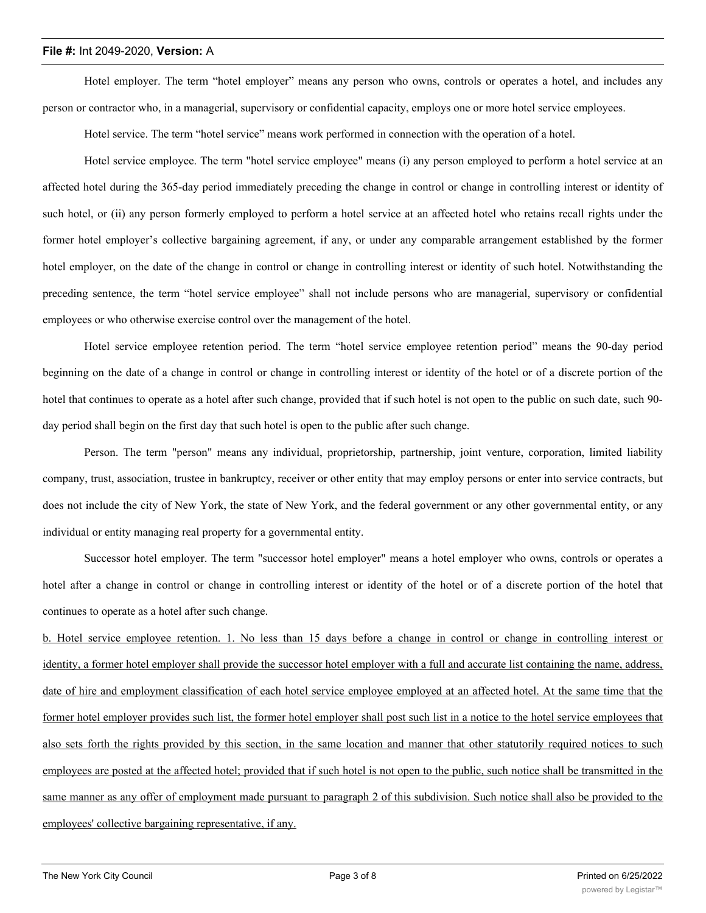Hotel employer. The term "hotel employer" means any person who owns, controls or operates a hotel, and includes any person or contractor who, in a managerial, supervisory or confidential capacity, employs one or more hotel service employees.

Hotel service. The term "hotel service" means work performed in connection with the operation of a hotel.

Hotel service employee. The term "hotel service employee" means (i) any person employed to perform a hotel service at an affected hotel during the 365-day period immediately preceding the change in control or change in controlling interest or identity of such hotel, or (ii) any person formerly employed to perform a hotel service at an affected hotel who retains recall rights under the former hotel employer's collective bargaining agreement, if any, or under any comparable arrangement established by the former hotel employer, on the date of the change in control or change in controlling interest or identity of such hotel. Notwithstanding the preceding sentence, the term "hotel service employee" shall not include persons who are managerial, supervisory or confidential employees or who otherwise exercise control over the management of the hotel.

Hotel service employee retention period. The term "hotel service employee retention period" means the 90-day period beginning on the date of a change in control or change in controlling interest or identity of the hotel or of a discrete portion of the hotel that continues to operate as a hotel after such change, provided that if such hotel is not open to the public on such date, such 90 day period shall begin on the first day that such hotel is open to the public after such change.

Person. The term "person" means any individual, proprietorship, partnership, joint venture, corporation, limited liability company, trust, association, trustee in bankruptcy, receiver or other entity that may employ persons or enter into service contracts, but does not include the city of New York, the state of New York, and the federal government or any other governmental entity, or any individual or entity managing real property for a governmental entity.

Successor hotel employer. The term "successor hotel employer" means a hotel employer who owns, controls or operates a hotel after a change in control or change in controlling interest or identity of the hotel or of a discrete portion of the hotel that continues to operate as a hotel after such change.

b. Hotel service employee retention. 1. No less than 15 days before a change in control or change in controlling interest or identity, a former hotel employer shall provide the successor hotel employer with a full and accurate list containing the name, address, date of hire and employment classification of each hotel service employee employed at an affected hotel. At the same time that the former hotel employer provides such list, the former hotel employer shall post such list in a notice to the hotel service employees that also sets forth the rights provided by this section, in the same location and manner that other statutorily required notices to such employees are posted at the affected hotel; provided that if such hotel is not open to the public, such notice shall be transmitted in the same manner as any offer of employment made pursuant to paragraph 2 of this subdivision. Such notice shall also be provided to the employees' collective bargaining representative, if any.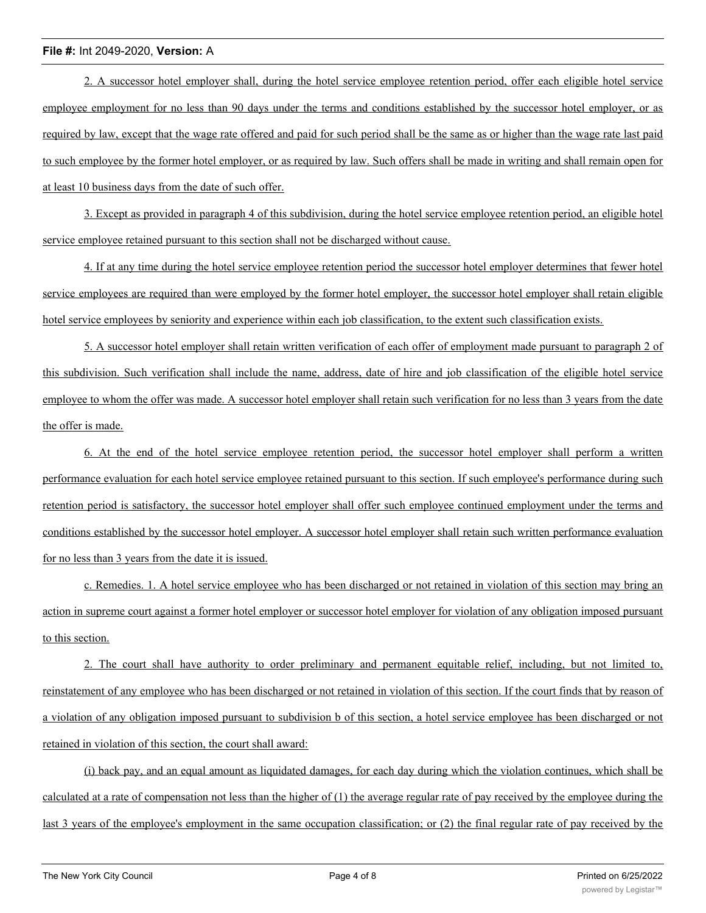2. A successor hotel employer shall, during the hotel service employee retention period, offer each eligible hotel service employee employment for no less than 90 days under the terms and conditions established by the successor hotel employer, or as required by law, except that the wage rate offered and paid for such period shall be the same as or higher than the wage rate last paid to such employee by the former hotel employer, or as required by law. Such offers shall be made in writing and shall remain open for at least 10 business days from the date of such offer.

3. Except as provided in paragraph 4 of this subdivision, during the hotel service employee retention period, an eligible hotel service employee retained pursuant to this section shall not be discharged without cause.

4. If at any time during the hotel service employee retention period the successor hotel employer determines that fewer hotel service employees are required than were employed by the former hotel employer, the successor hotel employer shall retain eligible hotel service employees by seniority and experience within each job classification, to the extent such classification exists.

5. A successor hotel employer shall retain written verification of each offer of employment made pursuant to paragraph 2 of this subdivision. Such verification shall include the name, address, date of hire and job classification of the eligible hotel service employee to whom the offer was made. A successor hotel employer shall retain such verification for no less than 3 years from the date the offer is made.

6. At the end of the hotel service employee retention period, the successor hotel employer shall perform a written performance evaluation for each hotel service employee retained pursuant to this section. If such employee's performance during such retention period is satisfactory, the successor hotel employer shall offer such employee continued employment under the terms and conditions established by the successor hotel employer. A successor hotel employer shall retain such written performance evaluation for no less than 3 years from the date it is issued.

c. Remedies. 1. A hotel service employee who has been discharged or not retained in violation of this section may bring an action in supreme court against a former hotel employer or successor hotel employer for violation of any obligation imposed pursuant to this section.

2. The court shall have authority to order preliminary and permanent equitable relief, including, but not limited to, reinstatement of any employee who has been discharged or not retained in violation of this section. If the court finds that by reason of a violation of any obligation imposed pursuant to subdivision b of this section, a hotel service employee has been discharged or not retained in violation of this section, the court shall award:

(i) back pay, and an equal amount as liquidated damages, for each day during which the violation continues, which shall be calculated at a rate of compensation not less than the higher of (1) the average regular rate of pay received by the employee during the last 3 years of the employee's employment in the same occupation classification; or (2) the final regular rate of pay received by the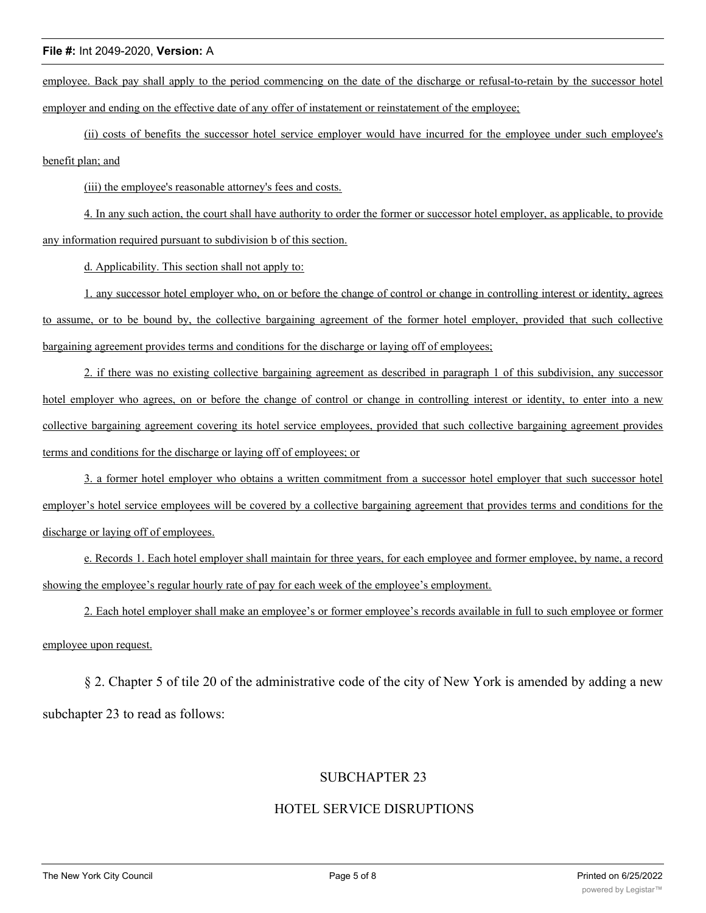employee. Back pay shall apply to the period commencing on the date of the discharge or refusal-to-retain by the successor hotel employer and ending on the effective date of any offer of instatement or reinstatement of the employee;

(ii) costs of benefits the successor hotel service employer would have incurred for the employee under such employee's benefit plan; and

(iii) the employee's reasonable attorney's fees and costs.

4. In any such action, the court shall have authority to order the former or successor hotel employer, as applicable, to provide any information required pursuant to subdivision b of this section.

d. Applicability. This section shall not apply to:

1. any successor hotel employer who, on or before the change of control or change in controlling interest or identity, agrees to assume, or to be bound by, the collective bargaining agreement of the former hotel employer, provided that such collective bargaining agreement provides terms and conditions for the discharge or laying off of employees;

2. if there was no existing collective bargaining agreement as described in paragraph 1 of this subdivision, any successor hotel employer who agrees, on or before the change of control or change in controlling interest or identity, to enter into a new collective bargaining agreement covering its hotel service employees, provided that such collective bargaining agreement provides terms and conditions for the discharge or laying off of employees; or

3. a former hotel employer who obtains a written commitment from a successor hotel employer that such successor hotel employer's hotel service employees will be covered by a collective bargaining agreement that provides terms and conditions for the discharge or laying off of employees.

e. Records 1. Each hotel employer shall maintain for three years, for each employee and former employee, by name, a record showing the employee's regular hourly rate of pay for each week of the employee's employment.

2. Each hotel employer shall make an employee's or former employee's records available in full to such employee or former employee upon request.

§ 2. Chapter 5 of tile 20 of the administrative code of the city of New York is amended by adding a new subchapter 23 to read as follows:

## SUBCHAPTER 23

## HOTEL SERVICE DISRUPTIONS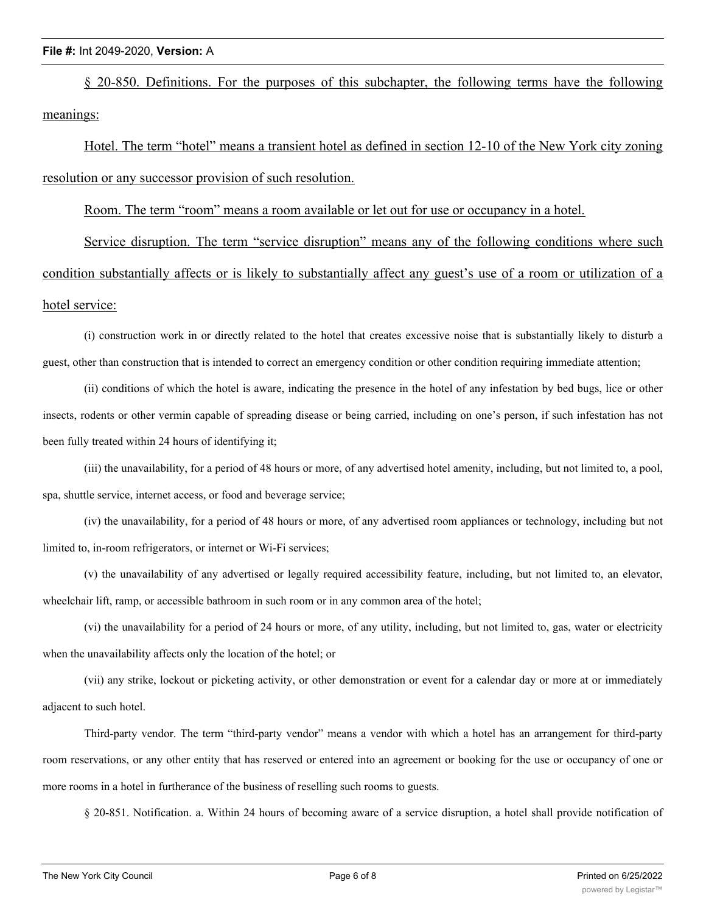§ 20-850. Definitions. For the purposes of this subchapter, the following terms have the following meanings:

Hotel. The term "hotel" means a transient hotel as defined in section 12-10 of the New York city zoning resolution or any successor provision of such resolution.

Room. The term "room" means a room available or let out for use or occupancy in a hotel.

Service disruption. The term "service disruption" means any of the following conditions where such condition substantially affects or is likely to substantially affect any guest's use of a room or utilization of a hotel service:

(i) construction work in or directly related to the hotel that creates excessive noise that is substantially likely to disturb a guest, other than construction that is intended to correct an emergency condition or other condition requiring immediate attention;

(ii) conditions of which the hotel is aware, indicating the presence in the hotel of any infestation by bed bugs, lice or other insects, rodents or other vermin capable of spreading disease or being carried, including on one's person, if such infestation has not been fully treated within 24 hours of identifying it;

(iii) the unavailability, for a period of 48 hours or more, of any advertised hotel amenity, including, but not limited to, a pool, spa, shuttle service, internet access, or food and beverage service;

(iv) the unavailability, for a period of 48 hours or more, of any advertised room appliances or technology, including but not limited to, in-room refrigerators, or internet or Wi-Fi services;

(v) the unavailability of any advertised or legally required accessibility feature, including, but not limited to, an elevator, wheelchair lift, ramp, or accessible bathroom in such room or in any common area of the hotel;

(vi) the unavailability for a period of 24 hours or more, of any utility, including, but not limited to, gas, water or electricity when the unavailability affects only the location of the hotel; or

(vii) any strike, lockout or picketing activity, or other demonstration or event for a calendar day or more at or immediately adjacent to such hotel.

Third-party vendor. The term "third-party vendor" means a vendor with which a hotel has an arrangement for third-party room reservations, or any other entity that has reserved or entered into an agreement or booking for the use or occupancy of one or more rooms in a hotel in furtherance of the business of reselling such rooms to guests.

§ 20-851. Notification. a. Within 24 hours of becoming aware of a service disruption, a hotel shall provide notification of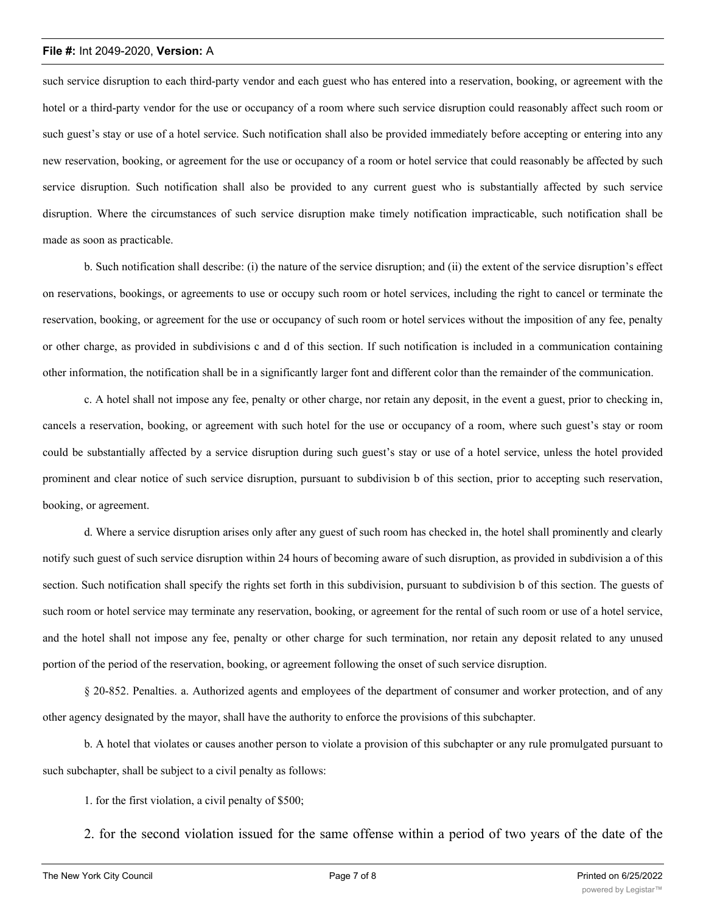such service disruption to each third-party vendor and each guest who has entered into a reservation, booking, or agreement with the hotel or a third-party vendor for the use or occupancy of a room where such service disruption could reasonably affect such room or such guest's stay or use of a hotel service. Such notification shall also be provided immediately before accepting or entering into any new reservation, booking, or agreement for the use or occupancy of a room or hotel service that could reasonably be affected by such service disruption. Such notification shall also be provided to any current guest who is substantially affected by such service disruption. Where the circumstances of such service disruption make timely notification impracticable, such notification shall be made as soon as practicable.

b. Such notification shall describe: (i) the nature of the service disruption; and (ii) the extent of the service disruption's effect on reservations, bookings, or agreements to use or occupy such room or hotel services, including the right to cancel or terminate the reservation, booking, or agreement for the use or occupancy of such room or hotel services without the imposition of any fee, penalty or other charge, as provided in subdivisions c and d of this section. If such notification is included in a communication containing other information, the notification shall be in a significantly larger font and different color than the remainder of the communication.

c. A hotel shall not impose any fee, penalty or other charge, nor retain any deposit, in the event a guest, prior to checking in, cancels a reservation, booking, or agreement with such hotel for the use or occupancy of a room, where such guest's stay or room could be substantially affected by a service disruption during such guest's stay or use of a hotel service, unless the hotel provided prominent and clear notice of such service disruption, pursuant to subdivision b of this section, prior to accepting such reservation, booking, or agreement.

d. Where a service disruption arises only after any guest of such room has checked in, the hotel shall prominently and clearly notify such guest of such service disruption within 24 hours of becoming aware of such disruption, as provided in subdivision a of this section. Such notification shall specify the rights set forth in this subdivision, pursuant to subdivision b of this section. The guests of such room or hotel service may terminate any reservation, booking, or agreement for the rental of such room or use of a hotel service, and the hotel shall not impose any fee, penalty or other charge for such termination, nor retain any deposit related to any unused portion of the period of the reservation, booking, or agreement following the onset of such service disruption.

§ 20-852. Penalties. a. Authorized agents and employees of the department of consumer and worker protection, and of any other agency designated by the mayor, shall have the authority to enforce the provisions of this subchapter.

b. A hotel that violates or causes another person to violate a provision of this subchapter or any rule promulgated pursuant to such subchapter, shall be subject to a civil penalty as follows:

- 1. for the first violation, a civil penalty of \$500;
- 2. for the second violation issued for the same offense within a period of two years of the date of the